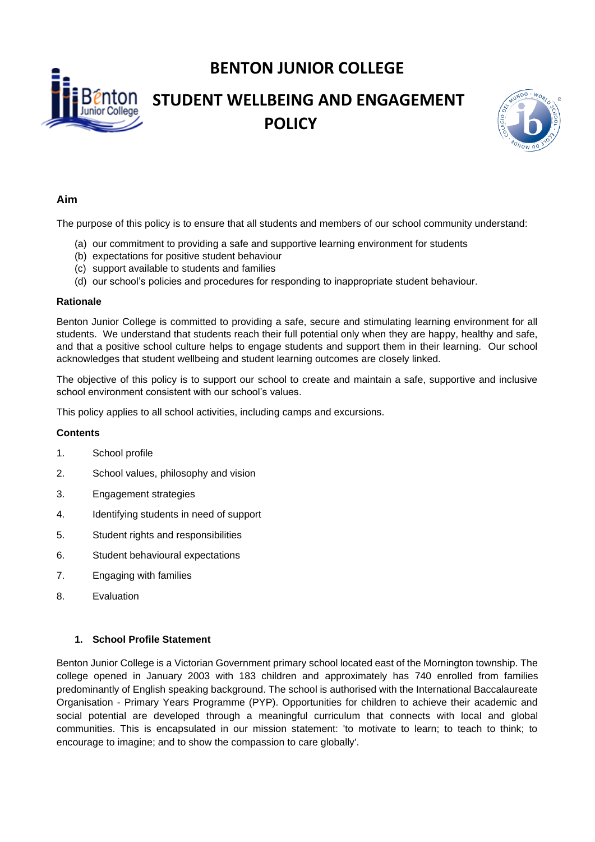**BENTON JUNIOR COLLEGE**

# **STUDENT WELLBEING AND ENGAGEMENT POLICY**



## **Aim**

The purpose of this policy is to ensure that all students and members of our school community understand:

- (a) our commitment to providing a safe and supportive learning environment for students
- (b) expectations for positive student behaviour
- (c) support available to students and families
- (d) our school's policies and procedures for responding to inappropriate student behaviour.

#### **Rationale**

Benton Junior College is committed to providing a safe, secure and stimulating learning environment for all students. We understand that students reach their full potential only when they are happy, healthy and safe, and that a positive school culture helps to engage students and support them in their learning. Our school acknowledges that student wellbeing and student learning outcomes are closely linked.

The objective of this policy is to support our school to create and maintain a safe, supportive and inclusive school environment consistent with our school's values.

This policy applies to all school activities, including camps and excursions.

# **Contents**

- 1. School profile
- 2. School values, philosophy and vision
- 3. Engagement strategies
- 4. Identifying students in need of support
- 5. Student rights and responsibilities
- 6. Student behavioural expectations
- 7. Engaging with families
- 8. Evaluation

# **1. School Profile Statement**

Benton Junior College is a Victorian Government primary school located east of the Mornington township. The college opened in January 2003 with 183 children and approximately has 740 enrolled from families predominantly of English speaking background. The school is authorised with the International Baccalaureate Organisation - Primary Years Programme (PYP). Opportunities for children to achieve their academic and social potential are developed through a meaningful curriculum that connects with local and global communities. This is encapsulated in our mission statement: 'to motivate to learn; to teach to think; to encourage to imagine; and to show the compassion to care globally'.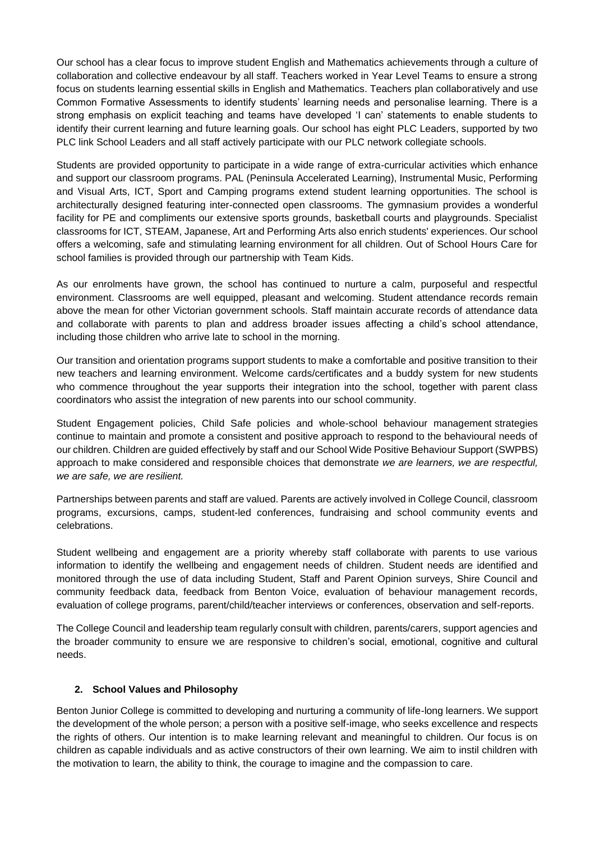Our school has a clear focus to improve student English and Mathematics achievements through a culture of collaboration and collective endeavour by all staff. Teachers worked in Year Level Teams to ensure a strong focus on students learning essential skills in English and Mathematics. Teachers plan collaboratively and use Common Formative Assessments to identify students' learning needs and personalise learning. There is a strong emphasis on explicit teaching and teams have developed 'I can' statements to enable students to identify their current learning and future learning goals. Our school has eight PLC Leaders, supported by two PLC link School Leaders and all staff actively participate with our PLC network collegiate schools.

Students are provided opportunity to participate in a wide range of extra-curricular activities which enhance and support our classroom programs. PAL (Peninsula Accelerated Learning), Instrumental Music, Performing and Visual Arts, ICT, Sport and Camping programs extend student learning opportunities. The school is architecturally designed featuring inter-connected open classrooms. The gymnasium provides a wonderful facility for PE and compliments our extensive sports grounds, basketball courts and playgrounds. Specialist classrooms for ICT, STEAM, Japanese, Art and Performing Arts also enrich students' experiences. Our school offers a welcoming, safe and stimulating learning environment for all children. Out of School Hours Care for school families is provided through our partnership with Team Kids.

As our enrolments have grown, the school has continued to nurture a calm, purposeful and respectful environment. Classrooms are well equipped, pleasant and welcoming. Student attendance records remain above the mean for other Victorian government schools. Staff maintain accurate records of attendance data and collaborate with parents to plan and address broader issues affecting a child's school attendance, including those children who arrive late to school in the morning.

Our transition and orientation programs support students to make a comfortable and positive transition to their new teachers and learning environment. Welcome cards/certificates and a buddy system for new students who commence throughout the year supports their integration into the school, together with parent class coordinators who assist the integration of new parents into our school community.

Student Engagement policies, Child Safe policies and whole-school behaviour management strategies continue to maintain and promote a consistent and positive approach to respond to the behavioural needs of our children. Children are guided effectively by staff and our School Wide Positive Behaviour Support (SWPBS) approach to make considered and responsible choices that demonstrate *we are learners, we are respectful, we are safe, we are resilient.* 

Partnerships between parents and staff are valued. Parents are actively involved in College Council, classroom programs, excursions, camps, student-led conferences, fundraising and school community events and celebrations.

Student wellbeing and engagement are a priority whereby staff collaborate with parents to use various information to identify the wellbeing and engagement needs of children. Student needs are identified and monitored through the use of data including Student, Staff and Parent Opinion surveys, Shire Council and community feedback data, feedback from Benton Voice, evaluation of behaviour management records, evaluation of college programs, parent/child/teacher interviews or conferences, observation and self-reports.

The College Council and leadership team regularly consult with children, parents/carers, support agencies and the broader community to ensure we are responsive to children's social, emotional, cognitive and cultural needs.

#### **2. School Values and Philosophy**

Benton Junior College is committed to developing and nurturing a community of life-long learners. We support the development of the whole person; a person with a positive self-image, who seeks excellence and respects the rights of others. Our intention is to make learning relevant and meaningful to children. Our focus is on children as capable individuals and as active constructors of their own learning. We aim to instil children with the motivation to learn, the ability to think, the courage to imagine and the compassion to care.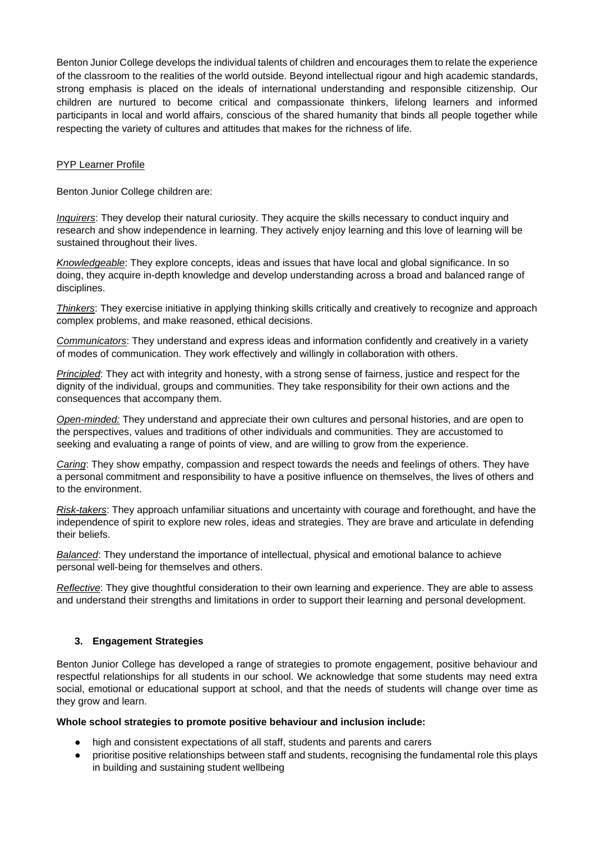Benton Junior College develops the individual talents of children and encourages them to relate the experience of the classroom to the realities of the world outside. Beyond intellectual rigour and high academic standards, strong emphasis is placed on the ideals of international understanding and responsible citizenship. Our children are nurtured to become critical and compassionate thinkers, lifelong learners and informed participants in local and world affairs, conscious of the shared humanity that binds all people together while respecting the variety of cultures and attitudes that makes for the richness of life.

## PYP Learner Profile

Benton Junior College children are:

*Inquirers*: They develop their natural curiosity. They acquire the skills necessary to conduct inquiry and research and show independence in learning. They actively enjoy learning and this love of learning will be sustained throughout their lives.

*Knowledgeable*: They explore concepts, ideas and issues that have local and global significance. In so doing, they acquire in-depth knowledge and develop understanding across a broad and balanced range of disciplines.

*Thinkers*: They exercise initiative in applying thinking skills critically and creatively to recognize and approach complex problems, and make reasoned, ethical decisions.

*Communicators*: They understand and express ideas and information confidently and creatively in a variety of modes of communication. They work effectively and willingly in collaboration with others.

*Principled*: They act with integrity and honesty, with a strong sense of fairness, justice and respect for the dignity of the individual, groups and communities. They take responsibility for their own actions and the consequences that accompany them.

*Open-minded:* They understand and appreciate their own cultures and personal histories, and are open to the perspectives, values and traditions of other individuals and communities. They are accustomed to seeking and evaluating a range of points of view, and are willing to grow from the experience.

*Caring*: They show empathy, compassion and respect towards the needs and feelings of others. They have a personal commitment and responsibility to have a positive influence on themselves, the lives of others and to the environment.

*Risk-takers*: They approach unfamiliar situations and uncertainty with courage and forethought, and have the independence of spirit to explore new roles, ideas and strategies. They are brave and articulate in defending their beliefs.

*Balanced*: They understand the importance of intellectual, physical and emotional balance to achieve personal well-being for themselves and others.

*Reflective*: They give thoughtful consideration to their own learning and experience. They are able to assess and understand their strengths and limitations in order to support their learning and personal development.

# **3. Engagement Strategies**

Benton Junior College has developed a range of strategies to promote engagement, positive behaviour and respectful relationships for all students in our school. We acknowledge that some students may need extra social, emotional or educational support at school, and that the needs of students will change over time as they grow and learn.

#### **Whole school strategies to promote positive behaviour and inclusion include:**

- high and consistent expectations of all staff, students and parents and carers
- prioritise positive relationships between staff and students, recognising the fundamental role this plays in building and sustaining student wellbeing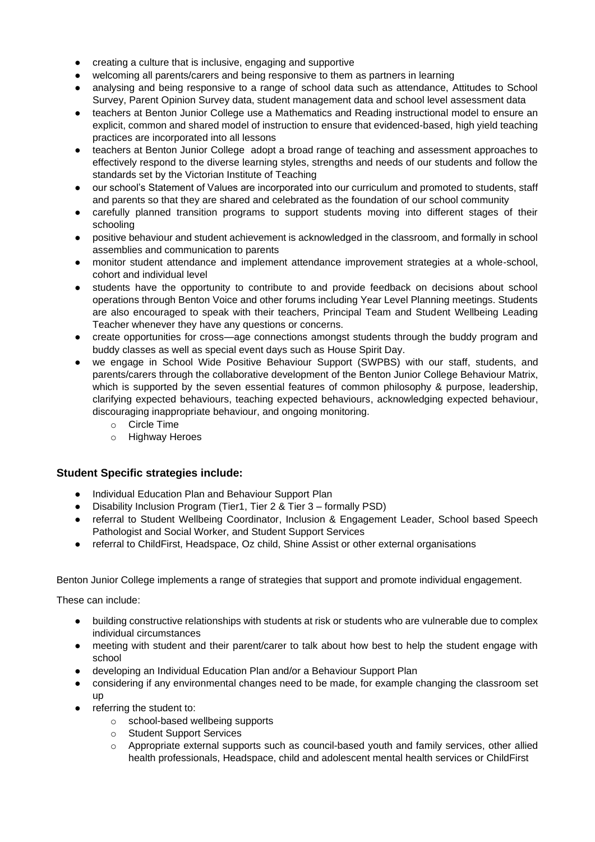- creating a culture that is inclusive, engaging and supportive
- welcoming all parents/carers and being responsive to them as partners in learning
- analysing and being responsive to a range of school data such as attendance, Attitudes to School Survey, Parent Opinion Survey data, student management data and school level assessment data
- teachers at Benton Junior College use a Mathematics and Reading instructional model to ensure an explicit, common and shared model of instruction to ensure that evidenced-based, high yield teaching practices are incorporated into all lessons
- teachers at Benton Junior College adopt a broad range of teaching and assessment approaches to effectively respond to the diverse learning styles, strengths and needs of our students and follow the standards set by the Victorian Institute of Teaching
- our school's Statement of Values are incorporated into our curriculum and promoted to students, staff and parents so that they are shared and celebrated as the foundation of our school community
- carefully planned transition programs to support students moving into different stages of their schooling
- positive behaviour and student achievement is acknowledged in the classroom, and formally in school assemblies and communication to parents
- monitor student attendance and implement attendance improvement strategies at a whole-school, cohort and individual level
- students have the opportunity to contribute to and provide feedback on decisions about school operations through Benton Voice and other forums including Year Level Planning meetings. Students are also encouraged to speak with their teachers, Principal Team and Student Wellbeing Leading Teacher whenever they have any questions or concerns.
- create opportunities for cross—age connections amongst students through the buddy program and buddy classes as well as special event days such as House Spirit Day.
- we engage in School Wide Positive Behaviour Support (SWPBS) with our staff, students, and parents/carers through the collaborative development of the Benton Junior College Behaviour Matrix, which is supported by the seven essential features of common philosophy & purpose, leadership, clarifying expected behaviours, teaching expected behaviours, acknowledging expected behaviour, discouraging inappropriate behaviour, and ongoing monitoring.
	- o Circle Time
	- o Highway Heroes

# **Student Specific strategies include:**

- Individual Education Plan and Behaviour Support Plan
- Disability Inclusion Program (Tier1, Tier 2 & Tier 3 formally PSD)
- referral to Student Wellbeing Coordinator, Inclusion & Engagement Leader, School based Speech Pathologist and Social Worker, and Student Support Services
- referral to ChildFirst, Headspace, Oz child, Shine Assist or other external organisations

Benton Junior College implements a range of strategies that support and promote individual engagement.

These can include:

- building constructive relationships with students at risk or students who are vulnerable due to complex individual circumstances
- meeting with student and their parent/carer to talk about how best to help the student engage with school
- developing an Individual Education Plan and/or a Behaviour Support Plan
- considering if any environmental changes need to be made, for example changing the classroom set up
- referring the student to:
	- o school-based wellbeing supports
	- o Student Support Services
	- o Appropriate external supports such as council-based youth and family services, other allied health professionals, Headspace, child and adolescent mental health services or ChildFirst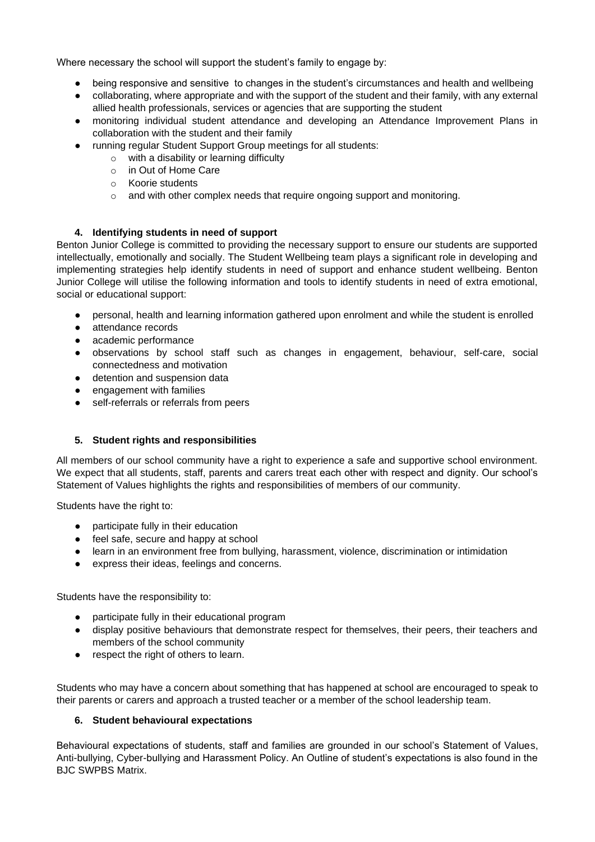Where necessary the school will support the student's family to engage by:

- being responsive and sensitive to changes in the student's circumstances and health and wellbeing
- collaborating, where appropriate and with the support of the student and their family, with any external allied health professionals, services or agencies that are supporting the student
- monitoring individual student attendance and developing an Attendance Improvement Plans in collaboration with the student and their family
- running regular Student Support Group meetings for all students:
	- o with a disability or learning difficulty
	- o in Out of Home Care
	- o Koorie students
	- o and with other complex needs that require ongoing support and monitoring.

## **4. Identifying students in need of support**

Benton Junior College is committed to providing the necessary support to ensure our students are supported intellectually, emotionally and socially. The Student Wellbeing team plays a significant role in developing and implementing strategies help identify students in need of support and enhance student wellbeing. Benton Junior College will utilise the following information and tools to identify students in need of extra emotional, social or educational support:

- personal, health and learning information gathered upon enrolment and while the student is enrolled
- attendance records
- academic performance
- observations by school staff such as changes in engagement, behaviour, self-care, social connectedness and motivation
- detention and suspension data
- engagement with families
- self-referrals or referrals from peers

#### **5. Student rights and responsibilities**

All members of our school community have a right to experience a safe and supportive school environment. We expect that all students, staff, parents and carers treat each other with respect and dignity. Our school's Statement of Values highlights the rights and responsibilities of members of our community.

Students have the right to:

- participate fully in their education
- feel safe, secure and happy at school
- learn in an environment free from bullying, harassment, violence, discrimination or intimidation
- express their ideas, feelings and concerns.

Students have the responsibility to:

- participate fully in their educational program
- display positive behaviours that demonstrate respect for themselves, their peers, their teachers and members of the school community
- respect the right of others to learn.

Students who may have a concern about something that has happened at school are encouraged to speak to their parents or carers and approach a trusted teacher or a member of the school leadership team.

#### **6. Student behavioural expectations**

Behavioural expectations of students, staff and families are grounded in our school's Statement of Values, Anti-bullying, Cyber-bullying and Harassment Policy. An Outline of student's expectations is also found in the BJC SWPBS Matrix.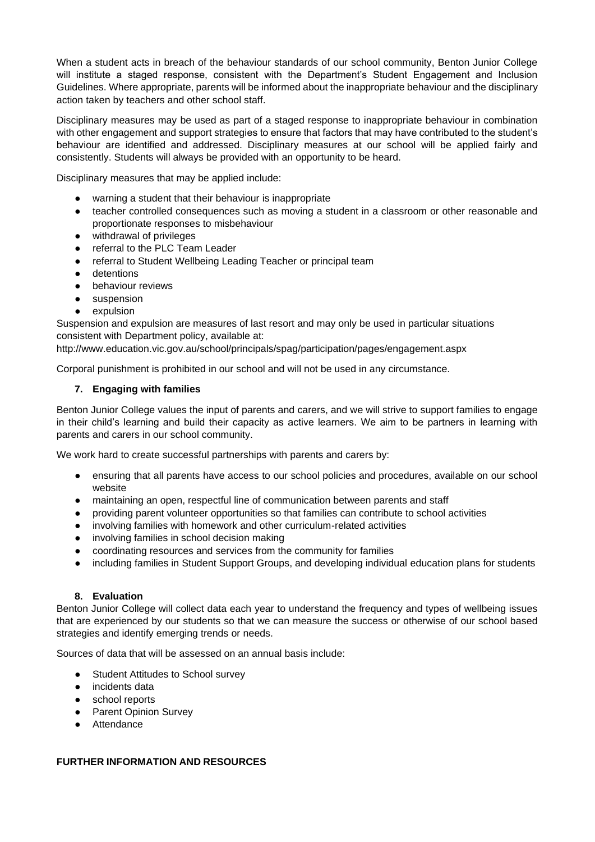When a student acts in breach of the behaviour standards of our school community, Benton Junior College will institute a staged response, consistent with the Department's Student Engagement and Inclusion Guidelines. Where appropriate, parents will be informed about the inappropriate behaviour and the disciplinary action taken by teachers and other school staff.

Disciplinary measures may be used as part of a staged response to inappropriate behaviour in combination with other engagement and support strategies to ensure that factors that may have contributed to the student's behaviour are identified and addressed. Disciplinary measures at our school will be applied fairly and consistently. Students will always be provided with an opportunity to be heard.

Disciplinary measures that may be applied include:

- warning a student that their behaviour is inappropriate
- teacher controlled consequences such as moving a student in a classroom or other reasonable and proportionate responses to misbehaviour
- withdrawal of privileges
- referral to the PLC Team Leader
- referral to Student Wellbeing Leading Teacher or principal team
- detentions
- behaviour reviews
- suspension
- expulsion

Suspension and expulsion are measures of last resort and may only be used in particular situations consistent with Department policy, available at:

http://www.education.vic.gov.au/school/principals/spag/participation/pages/engagement.aspx

Corporal punishment is prohibited in our school and will not be used in any circumstance.

## **7. Engaging with families**

Benton Junior College values the input of parents and carers, and we will strive to support families to engage in their child's learning and build their capacity as active learners. We aim to be partners in learning with parents and carers in our school community.

We work hard to create successful partnerships with parents and carers by:

- ensuring that all parents have access to our school policies and procedures, available on our school website
- maintaining an open, respectful line of communication between parents and staff
- providing parent volunteer opportunities so that families can contribute to school activities
- involving families with homework and other curriculum-related activities
- involving families in school decision making
- coordinating resources and services from the community for families
- including families in Student Support Groups, and developing individual education plans for students

## **8. Evaluation**

Benton Junior College will collect data each year to understand the frequency and types of wellbeing issues that are experienced by our students so that we can measure the success or otherwise of our school based strategies and identify emerging trends or needs.

Sources of data that will be assessed on an annual basis include:

- Student Attitudes to School survey
- incidents data
- school reports
- Parent Opinion Survey
- Attendance

#### **FURTHER INFORMATION AND RESOURCES**